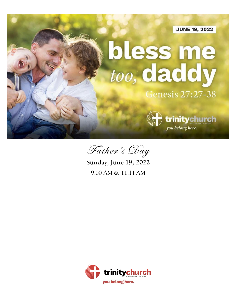**JUNE 19, 2022** 

# bless me too, daddy

**Genesis 27:27-38** 

you belong here.

trinitychurch



**Sunday, June 19, 2022** 9:00 AM & 11:11 AM

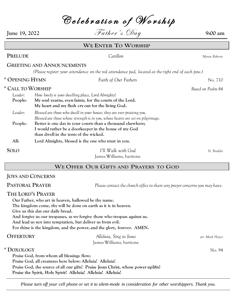Celebration of Worship **June 19,** 2022  $\qquad \qquad$  Father's  $\mathcal{D}_{ay}$  9:00 am **WE ENTER TO WORSHIP PRELUDE** *Carillon Myron Roberts* **GREETING AND ANNOUNCEMENTS** *(Please register your attendance on the red attendance pad, located at the right end of each pew.)* **\* OPENING HYMN** *Faith of Our Fathers* No. 710 **\* CALL TO WORSHIP** *Based on Psalm 84 Leader: How lovely is your dwelling place, Lord Almighty!* **People: My soul yearns, even faints, for the courts of the Lord. My heart and my flesh cry out for the living God.** *Leader: Blessed are those who dwell in your house; they are ever praising you. Blessed are those whose strength is in you, whose hearts are set on pilgrimage.* **People: Better is one day in your courts than a thousand elsewhere; I would rather be a doorkeeper in the house of my God than dwell in the tents of the wicked. All: Lord Almighty, blessed is the one who trust in you. SOLO** *I'll Walk with God N. Brodski* James Williams, baritone

#### **WE OFFER OUR GIFTS AND PRAYERS TO GOD**

#### **JOYS AND CONCERNS**

**PASTORAL PRAYER** *Please contact the church office to share any prayer concerns you may have.*

#### **THE LORD'S PRAYER**

**Our Father, who art in heaven, hallowed be thy name. Thy kingdom come, thy will be done on earth as it is in heaven. Give us this day our daily bread. And forgive us our trespasses, as we forgive those who trespass against us. And lead us not into temptation, but deliver us from evil. For thine is the kingdom, and the power, and the glory, forever. AMEN. OFFERTORY** *Alleluia, Sing to Jesus arr. Mark Hayes* James Williams, baritone **\* DOXOLOGY** No. 94 **Praise God, from whom all blessings flow; Praise God, all creatures here below: Alleluia! Alleluia!** 

**Praise God, the source of all our gifts! Praise Jesus Christ, whose power uplifts!** 

**Praise the Spirit, Holy Spirit! Alleluia! Alleluia! Alleluia!**

*Please turn off your cell phone or set it to silent-mode in consideration for other worshippers. Thank you.*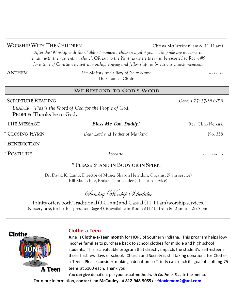**WORSHIP WITH THE CHILDREN** Christa McCarrick (9 am & 11:11 am)

*After the "Worship with the Children" moment, children aged 4 yrs. – 5th grade are welcome to remain with their parents in church OR exit to the Narthex where they will be escorted to Room #9 for a time of Christian activities, worship, singing and fellowship led by various church members.*

**ANTHEM** *The Majesty and Glory of Your Name Tom Fettke* The Chancel Choir

#### **WE RESPOND TO GOD'S WORD**

**SCRIPTURE READING** *Genesis 27: 27-38 (NIV) LEADER: This is the Word of God for the People of God.* **PEOPLE: Thanks be to God. THE MESSAGE** *Bless Me Too, Daddy!* Rev. Chris Neikirk **\* CLOSING HYMN** *Dear Lord and Father of Mankind* No. 358 **\* BENEDICTION \* POSTLUDE** *Toccatta Leon Boellmann*

# **\* PLEASE STAND IN BODY OR IN SPIRIT**

Dr. David K. Lamb, Director of Music; Sharon Herndon, Organist (9 am service) Bill Maetschke, Praise Team Leader (11:11 am service)

Sunday Worship Schedule:

Trinity offers both Traditional (9:00 am) and Casual (11:11 am) worship services. Nursery care, for birth – preschool (age 4), is available in Room #11/13 from 8:50 am to 12:25 pm.



#### **Clothe-a-Teen**

June is **Clothe-a-Teen month** for HOPE of Southern Indiana. This program helps lowincome families to purchase back to school clothes for middle and high school students. This is a valuable program that directly impacts the student's self-esteem those first few days of school. Church and Society is still taking donations for Clothea-Teen. Please consider making a donation so Trinity can reach its goal of clothing 75 teens at \$100 each. Thank you!

You can give donations per your usual method with *Clothe-a-Teen* in the memo. For more information, **contact Jan McCauley,** at **812-948-5055** or **[fdoxiemom2@aol.com](mailto:fdoxiemom2@aol.com)**.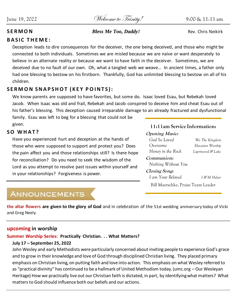June 19, 2022 Welcome to Trinity! 9:00 & 11:11 am

#### **SERMON Bless Me Too, Daddy!** Rev. Chris Neikirk

#### **BASIC THEME:**

Deception leads to dire consequences for the deceiver, the one being deceived, and those who might be connected to both individuals. Sometimes we are misled because we are naive or want desperately to believe in an alternate reality or because we want to have faith in the deceiver. Sometimes, we are deceived due to no fault of our own. Oh, what a tangled web we weave… In ancient times, a father only had one blessing to bestow on his firstborn. Thankfully, God has unlimited blessing to bestow on all of his children.

# SERMON SNAPSHOT (KEY POINTS):

We know parents are supposed to have favorites, but some do. Isaac loved Esau, but Rebekah loved Jacob. When Isaac was old and frail, Rebekah and Jacob conspired to deceive him and cheat Esau out of his father's blessing. This deception caused irreparable damage to an already fractured and dysfunctional

family. Esau was left to beg for a blessing that could not be given.

# **S O W H A T ?**

Have you experienced hurt and deception at the hands of those who were supposed to support and protect you? Does the pain affect you and those relationships still? Is there hope for reconciliation? Do you need to seek the wisdom of the Lord as you attempt to resolve past issues within yourself and in your relationships? Forgiveness is power.

# **11:11am Service Information:**

## **Opening Music:**  *God So Loved We The Kingdom Overcome Elevation Worship Honey in the Rock Ligertwood & Lake* **Communion:**  *Nothing Without You* **Closing Song:**   *I am Your Beloved J & M Helser* Bill Maetschke, Praise Team Leader

# **ANNOUNCEMENTS**

**the altar flowers are given to the glory of God** and in celebration of the 51st wedding anniversary today of Vicki and Greg Neely.

#### **upcoming in worship**

# **Summer Worship Series: Practically Christian. . . What Matters?**

#### **July 17 – September 25, 2022**

John Wesley and early Methodists were particularly concerned about inviting people to experience God's grace and to grow in their knowledge and love of God through disciplined Christian living. They placed primary emphasis on Christian living, on putting faith and love into action. This emphasis on what Wesley referred to as "practical divinity" has continued to be a hallmark of United Methodism today. (umc.org – Our Wesleyan Heritage) How we practically live out our Christian faith is dictated, in part, by identifying what matters? What matters to God should influence both our beliefs and our actions.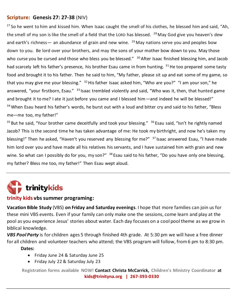# **Scripture: Genesis 27: 27-38** (NIV)

 $27$  So he went to him and kissed him. When Isaac caught the smell of his clothes, he blessed him and said, "Ah, the smell of my son is like the smell of a field that the LORD has blessed.  $^{28}$  May God give you heaven's dew and earth's richness— an abundance of grain and new wine.  $^{29}$  May nations serve you and peoples bow down to you. Be lord over your brothers, and may the sons of your mother bow down to you. May those who curse you be cursed and those who bless you be blessed." <sup>30</sup> After Isaac finished blessing him, and Jacob had scarcely left his father's presence, his brother Esau came in from hunting. <sup>31</sup>He too prepared some tasty food and brought it to his father. Then he said to him, "My father, please sit up and eat some of my game, so that you may give me your blessing."  $32$  His father Isaac asked him, "Who are you?" "I am your son," he answered, "your firstborn, Esau." <sup>33</sup> Isaac trembled violently and said, "Who was it, then, that hunted game and brought it to me? I ate it just before you came and I blessed him—and indeed he will be blessed!" <sup>34</sup> When Esau heard his father's words, he burst out with a loud and bitter cry and said to his father, "Bless me—me too, my father!"

<sup>35</sup> But he said, "Your brother came deceitfully and took your blessing." <sup>36</sup> Esau said, "Isn't he rightly named Jacob? This is the second time he has taken advantage of me: He took my birthright, and now he's taken my blessing!" Then he asked, "Haven't you reserved any blessing for me?" <sup>37</sup> Isaac answered Esau, "I have made him lord over you and have made all his relatives his servants, and I have sustained him with grain and new wine. So what can I possibly do for you, my son?" <sup>38</sup> Esau said to his father, "Do you have only one blessing, my father? Bless me too, my father!" Then Esau wept aloud.



#### **trinity kids vbs summer programing:**

**Vacation Bible Study** (VBS) **on Friday and Saturday evenings**. I hope that more families can join us for these mini VBS events. Even if your family can only make one the sessions, come learn and play at the pool as you experience Jesus' stories about water. Each day focuses on a cool pool theme as we grow in biblical knowledge.

*VBS Pool Party* is for children ages 5 through finished 4th grade. At 5:30 pm we will have a free dinner for all children and volunteer teachers who attend; the VBS program will follow, from 6 pm to 8:30 pm.

**Dates:**

- Friday June 24 & Saturday June 25
- Friday July 22 & Saturday July 23

**Registration forms available NOW! Contact Christa McCarrick, Children's Ministry Coordinator at kids@trinityna.org | 267-393-0330**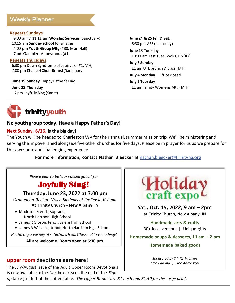# **Weekly Planner**

#### **Repeats Sundays**

 9:00 am & 11:11 am **Worship Services**(Sanctuary) 10:15 am **Sunday school** for all ages 4:00 pm **Youth Group Mtg** (#38, Murr Hall) 7 pm Gamblers Anonymous (#1)

#### **Repeats Thursdays**

 6:30 pm Down Syndrome of Louisville (#1, MH) 7:00 pm **Chancel Choir Rehrsl** (Sanctuary)

**June 19 Sunday** Happy Father's Day

**June 23 Thursday**

7 pm Joyfully Sing (Sanct)

**June 24 & 25 Fri. & Sat**. 5:30 pm VBS (all facility)

**June 28 Tuesday** 10:30 am Last Tues Book Club (#7)

**July 3 Sunday** 11 am UTL brunch & class (MH)

**July 4 Monday** Office closed

**July 5 Tuesday** 11 am Trinity Womens Mtg (MH)



#### **No youth group today. Have a Happy Father's Day!**

#### **Next Sunday, 6/26, is the big day!**

The Youth will be headed to Charleston WV for their annual, summer mission trip. We'll be ministering and serving the impoverished alongside five other churches for five days. Please be in prayer for us as we prepare for this awesome and challenging experience.

**For more information, contact Nathan Bleecker** at nathan.bleecker@trinityna.org

*Please plan to be "our special guest" for*

# **Joyfully Sing!**

**Thursday, June 23, 2022 at 7:00 pm**

*Graduation Recital: Voice Students of Dr David K Lamb* **At Trinity Church – New Albany, IN**

- Madeline French, soprano, North Harrison High School
- James R Gibson, tenor, Salem High School
- James A Williams, tenor, North Harrison High School

*Featuring a variety of selections from Classical to Broadway!*

**All are welcome. Doors open at 6:30 pm.**

#### **upper room devotionals are here!**

The July/August issue of the Adult Upper Room Devotionals is now available in the Narthex area on the end of the *Sign-*



**Sat., Oct. 15, 2022, 9 am – 2pm** at Trinity Church, New Albany, IN

**Handmade arts & crafts** 30+ local vendors | Unique gifts

**Homemade soups & desserts, 11 am – 2 pm**

#### **Homemade baked goods**

*Sponsored by Trinity Women Free Parking | Free Admission*

*up* table just left of the coffee table. *The Upper Rooms are \$1 each and \$1.50 for the large print.*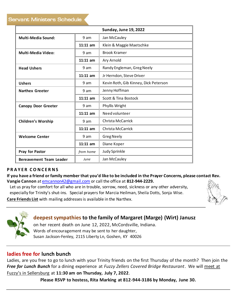|                                |            | <b>Sunday, June 19, 2022</b>          |  |
|--------------------------------|------------|---------------------------------------|--|
| <b>Multi-Media Sound:</b>      | 9 am       | Jan McCauley                          |  |
|                                | $11:11$ am | Klein & Maggie Maetschke              |  |
| <b>Multi-Media Video:</b>      | 9 am       | <b>Brook Kramer</b>                   |  |
|                                | $11:11$ am | Ary Arnold                            |  |
| <b>Head Ushers</b>             | 9 am       | Randy Engleman, Greg Neely            |  |
|                                | $11:11$ am | Jr Herndon, Steve Driver              |  |
| <b>Ushers</b>                  | 9 am       | Kevin Roth, Gib Kinney, Dick Peterson |  |
| <b>Narthex Greeter</b>         | 9 am       | Jenny Hoffman                         |  |
|                                | $11:11$ am | Scott & Tina Bostock                  |  |
| <b>Canopy Door Greeter</b>     | 9 am       | Phyllis Wright                        |  |
|                                | $11:11$ am | Need volunteer                        |  |
| <b>Children's Worship</b>      | 9 am       | Christa McCarrick                     |  |
|                                | $11:11$ am | Christa McCarrick                     |  |
| <b>Welcome Center</b>          | 9 am       | <b>Greg Neely</b>                     |  |
|                                | $11:11$ am | Diane Koper                           |  |
| Pray for Pastor                | from home  | Judy Sprinkle                         |  |
| <b>Bereavement Team Leader</b> | June       | Jan McCauley                          |  |

#### **P R A Y E R C O N C E R N S**

**If you have a friend or family member that you'd like to be included in the Prayer Concerns, please contact Rev. Vangie Cannon** at emcannon42@gmail.com or call the office at **812-944-2229.**

Let us pray for comfort for all who are in trouble, sorrow, need, sickness or any other adversity, especially for Trinity's shut-ins. Special prayers for Marcia Heilman, Sheila Dotts, Sonja Wise.

**Care Friends List** with mailing addresses is available in the Narthex.





# **deepest sympathies to the family of Margaret (Marge) (Wirt) Janusz**

on her recent death on June 12, 2022, McCordsville, Indiana. Words of encouragement may be sent to her daughter, Susan Jackson-Fenley, 2115 Liberty Ln, Goshen, KY 40026

# **ladies free for lunch bunch**

Ladies, are you free to go to lunch with your Trinity friends on the first Thursday of the month? Then join the *Free for Lunch Bunch* for a dining experience at *Fuzzy Zellers Covered Bridge Restaurant*. We will meet at Fuzzy's in Sellersburg at **11:30 am on Thursday, July 7, 2022**.

**Please RSVP to hostess, Rita Marking at 812-944-3186 by Monday, June 30.**